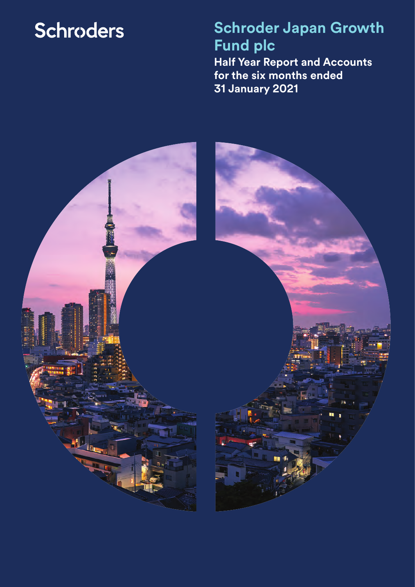# **Schroders**

**Schroder Japan Growth Fund plc Half Year Report and Accounts for the six months ended 31 January 2021**

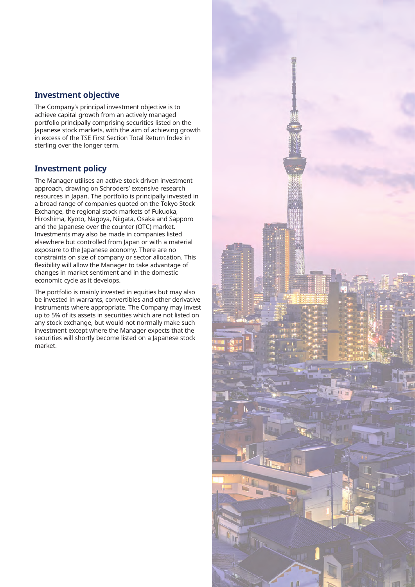### **Investment objective**

The Company's principal investment objective is to achieve capital growth from an actively managed portfolio principally comprising securities listed on the Japanese stock markets, with the aim of achieving growth in excess of the TSE First Section Total Return Index in sterling over the longer term.

### **Investment policy**

The Manager utilises an active stock driven investment approach, drawing on Schroders' extensive research resources in Japan. The portfolio is principally invested in a broad range of companies quoted on the Tokyo Stock Exchange, the regional stock markets of Fukuoka, Hiroshima, Kyoto, Nagoya, Niigata, Osaka and Sapporo and the Japanese over the counter (OTC) market. Investments may also be made in companies listed elsewhere but controlled from Japan or with a material exposure to the Japanese economy. There are no constraints on size of company or sector allocation. This flexibility will allow the Manager to take advantage of changes in market sentiment and in the domestic economic cycle as it develops.

The portfolio is mainly invested in equities but may also be invested in warrants, convertibles and other derivative instruments where appropriate. The Company may invest up to 5% of its assets in securities which are not listed on any stock exchange, but would not normally make such investment except where the Manager expects that the securities will shortly become listed on a Japanese stock market.

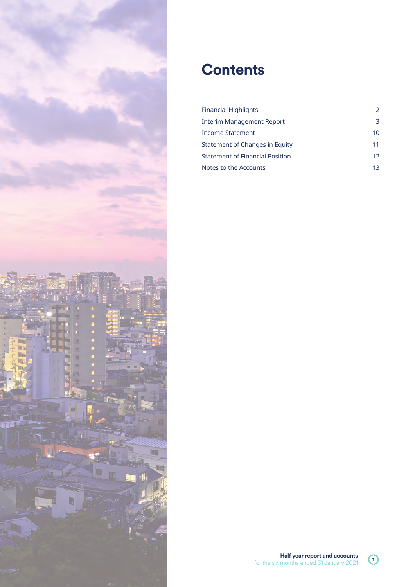

## **Contents**

| <b>Financial Highlights</b>            | $\mathcal{P}$ |
|----------------------------------------|---------------|
| Interim Management Report              | З             |
| Income Statement                       | 10            |
| Statement of Changes in Equity         | 11            |
| <b>Statement of Financial Position</b> | 12            |
| Notes to the Accounts                  | 13            |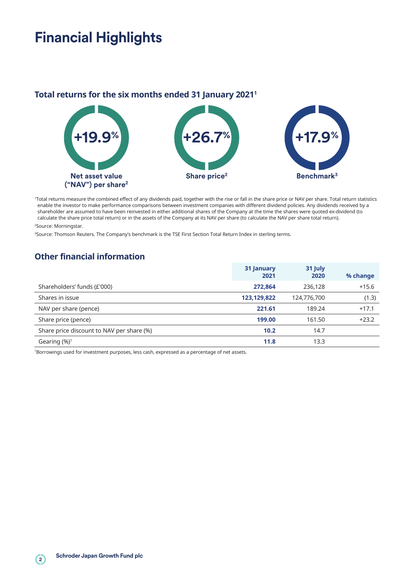## **Financial Highlights**

### **Total returns for the six months ended 31 January 20211**



1Total returns measure the combined effect of any dividends paid, together with the rise or fall in the share price or NAV per share. Total return statistics enable the investor to make performance comparisons between investment companies with different dividend policies. Any dividends received by a shareholder are assumed to have been reinvested in either additional shares of the Company at the time the shares were quoted ex-dividend (to calculate the share price total return) or in the assets of the Company at its NAV per share (to calculate the NAV per share total return).

2Source: Morningstar.

<sup>3</sup>Source: Thomson Reuters. The Company's benchmark is the TSE First Section Total Return Index in sterling terms.

## **Other financial information**

|                                           | 31 January<br>2021 | 31 July<br>2020 | % change |
|-------------------------------------------|--------------------|-----------------|----------|
| Shareholders' funds (£'000)               | 272,864            | 236,128         | $+15.6$  |
| Shares in issue                           | 123,129,822        | 124,776,700     | (1.3)    |
| NAV per share (pence)                     | 221.61             | 189.24          | $+17.1$  |
| Share price (pence)                       | 199.00             | 161.50          | $+23.2$  |
| Share price discount to NAV per share (%) | 10.2               | 14.7            |          |
| Gearing $(\%)^1$                          | 11.8               | 13.3            |          |

1 Borrowings used for investment purposes, less cash, expressed as a percentage of net assets.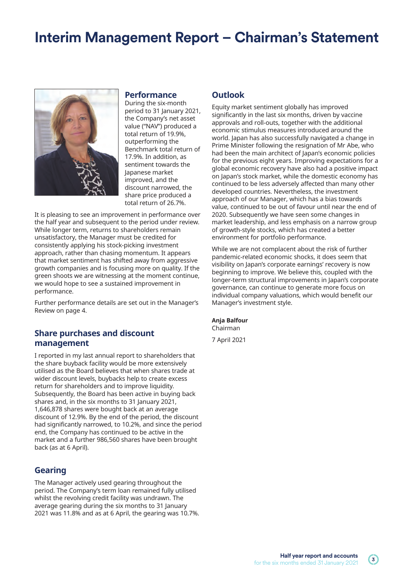## **Interim Management Report – Chairman's Statement**



#### **Performance**

During the six-month period to 31 January 2021, the Company's net asset value ("NAV") produced a total return of 19.9%, outperforming the Benchmark total return of 17.9%. In addition, as sentiment towards the Japanese market improved, and the discount narrowed, the share price produced a total return of 26.7%.

It is pleasing to see an improvement in performance over the half year and subsequent to the period under review. While longer term, returns to shareholders remain unsatisfactory, the Manager must be credited for consistently applying his stock-picking investment approach, rather than chasing momentum. It appears that market sentiment has shifted away from aggressive growth companies and is focusing more on quality. If the green shoots we are witnessing at the moment continue, we would hope to see a sustained improvement in performance.

Further performance details are set out in the Manager's Review on page 4.

#### **Share purchases and discount management**

I reported in my last annual report to shareholders that the share buyback facility would be more extensively utilised as the Board believes that when shares trade at wider discount levels, buybacks help to create excess return for shareholders and to improve liquidity. Subsequently, the Board has been active in buying back shares and, in the six months to 31 January 2021, 1,646,878 shares were bought back at an average discount of 12.9%. By the end of the period, the discount had significantly narrowed, to 10.2%, and since the period end, the Company has continued to be active in the market and a further 986,560 shares have been brought back (as at 6 April).

#### **Gearing**

The Manager actively used gearing throughout the period. The Company's term loan remained fully utilised whilst the revolving credit facility was undrawn. The average gearing during the six months to 31 January 2021 was 11.8% and as at 6 April, the gearing was 10.7%.

#### **Outlook**

Equity market sentiment globally has improved significantly in the last six months, driven by vaccine approvals and roll-outs, together with the additional economic stimulus measures introduced around the world. Japan has also successfully navigated a change in Prime Minister following the resignation of Mr Abe, who had been the main architect of Japan's economic policies for the previous eight years. Improving expectations for a global economic recovery have also had a positive impact on Japan's stock market, while the domestic economy has continued to be less adversely affected than many other developed countries. Nevertheless, the investment approach of our Manager, which has a bias towards value, continued to be out of favour until near the end of 2020. Subsequently we have seen some changes in market leadership, and less emphasis on a narrow group of growth-style stocks, which has created a better environment for portfolio performance.

While we are not complacent about the risk of further pandemic-related economic shocks, it does seem that visibility on Japan's corporate earnings' recovery is now beginning to improve. We believe this, coupled with the longer-term structural improvements in Japan's corporate governance, can continue to generate more focus on individual company valuations, which would benefit our Manager's investment style.

#### **Anja Balfour**  Chairman

7 April 2021

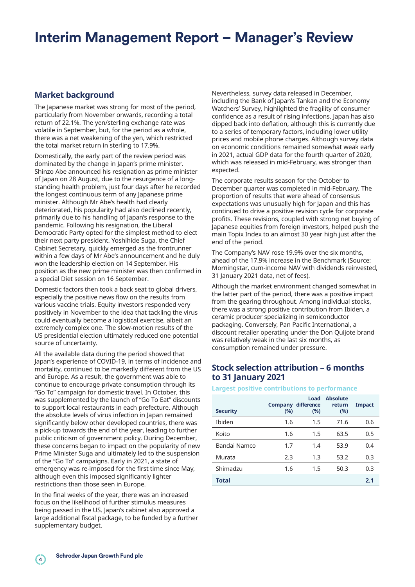## **Interim Management Report – Manager's Review**

### **Market background**

The Japanese market was strong for most of the period, particularly from November onwards, recording a total return of 22.1%. The yen/sterling exchange rate was volatile in September, but, for the period as a whole, there was a net weakening of the yen, which restricted the total market return in sterling to 17.9%.

Domestically, the early part of the review period was dominated by the change in Japan's prime minister. Shinzo Abe announced his resignation as prime minister of Japan on 28 August, due to the resurgence of a longstanding health problem, just four days after he recorded the longest continuous term of any Japanese prime minister. Although Mr Abe's health had clearly deteriorated, his popularity had also declined recently, primarily due to his handling of Japan's response to the pandemic. Following his resignation, the Liberal Democratic Party opted for the simplest method to elect their next party president. Yoshihide Suga, the Chief Cabinet Secretary, quickly emerged as the frontrunner within a few days of Mr Abe's announcement and he duly won the leadership election on 14 September. His position as the new prime minister was then confirmed in a special Diet session on 16 September.

Domestic factors then took a back seat to global drivers, especially the positive news flow on the results from various vaccine trials. Equity investors responded very positively in November to the idea that tackling the virus could eventually become a logistical exercise, albeit an extremely complex one. The slow-motion results of the US presidential election ultimately reduced one potential source of uncertainty.

All the available data during the period showed that Japan's experience of COVID-19, in terms of incidence and mortality, continued to be markedly different from the US and Europe. As a result, the government was able to continue to encourage private consumption through its "Go To" campaign for domestic travel. In October, this was supplemented by the launch of "Go To Eat" discounts to support local restaurants in each prefecture. Although the absolute levels of virus infection in Japan remained significantly below other developed countries, there was a pick-up towards the end of the year, leading to further public criticism of government policy. During December, these concerns began to impact on the popularity of new Prime Minister Suga and ultimately led to the suspension of the "Go To" campaigns. Early in 2021, a state of emergency was re-imposed for the first time since May, although even this imposed significantly lighter restrictions than those seen in Europe.

In the final weeks of the year, there was an increased focus on the likelihood of further stimulus measures being passed in the US. Japan's cabinet also approved a large additional fiscal package, to be funded by a further supplementary budget.

Nevertheless, survey data released in December, including the Bank of Japan's Tankan and the Economy Watchers' Survey, highlighted the fragility of consumer confidence as a result of rising infections. Japan has also dipped back into deflation, although this is currently due to a series of temporary factors, including lower utility prices and mobile phone charges. Although survey data on economic conditions remained somewhat weak early in 2021, actual GDP data for the fourth quarter of 2020, which was released in mid-February, was stronger than expected.

The corporate results season for the October to December quarter was completed in mid-February. The proportion of results that were ahead of consensus expectations was unusually high for Japan and this has continued to drive a positive revision cycle for corporate profits. These revisions, coupled with strong net buying of Japanese equities from foreign investors, helped push the main Topix Index to an almost 30 year high just after the end of the period.

The Company's NAV rose 19.9% over the six months, ahead of the 17.9% increase in the Benchmark (Source: Morningstar, cum-income NAV with dividends reinvested, 31 January 2021 data, net of fees).

Although the market environment changed somewhat in the latter part of the period, there was a positive impact from the gearing throughout. Among individual stocks, there was a strong positive contribution from Ibiden, a ceramic producer specializing in semiconductor packaging. Conversely, Pan Pacific International, a discount retailer operating under the Don Quijote brand was relatively weak in the last six months, as consumption remained under pressure.

#### **Stock selection attribution – 6 months to 31 January 2021**

#### **Largest positive contributions to performance**

| <b>Security</b> | <b>Company</b><br>(%) | Load<br>difference<br>(%) | <b>Absolute</b><br>return<br>(%) | <b>Impact</b> |
|-----------------|-----------------------|---------------------------|----------------------------------|---------------|
| Ibiden          | 1.6                   | 1.5                       | 71.6                             | 0.6           |
| Koito           | 1.6                   | 1.5                       | 63.5                             | 0.5           |
| Bandai Namco    | 1.7                   | 1.4                       | 53.9                             | 0.4           |
| Murata          | 2.3                   | 1.3                       | 53.2                             | 0.3           |
| Shimadzu        | 1.6                   | 1.5                       | 50.3                             | 0.3           |
| <b>Total</b>    |                       |                           |                                  | 2.1           |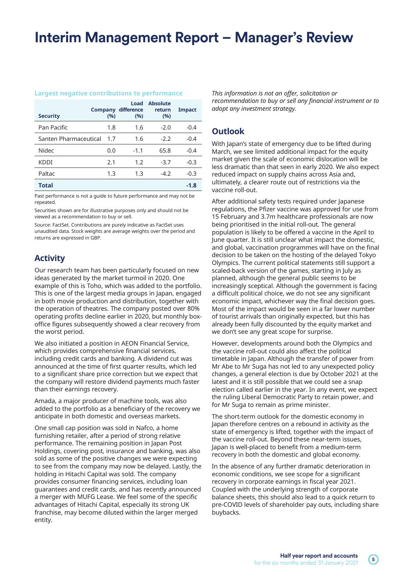## **Interim Management Report – Manager's Review**

#### **Largest negative contributions to performance**

| <b>Security</b>       | <b>Company</b><br>(%) | Load<br>difference<br>(%) | <b>Absolute</b><br>return<br>(%) | <b>Impact</b> |
|-----------------------|-----------------------|---------------------------|----------------------------------|---------------|
| Pan Pacific           | 1.8                   | 1.6                       | $-2.0$                           | $-0.4$        |
| Santen Pharmaceutical | 1.7                   | 1.6                       | $-2.2$                           | $-0.4$        |
| Nidec                 | 0.0                   | $-1.1$                    | 65.8                             | $-0.4$        |
| KDDI                  | 2.1                   | 1.2                       | $-3.7$                           | $-0.3$        |
| Paltac                | 1.3                   | 1.3                       | $-4.2$                           | $-0.3$        |
| Total                 |                       |                           |                                  | $-1.8$        |

Past performance is not a guide to future performance and may not be repeated.

Securities shown are for illustrative purposes only and should not be viewed as a recommendation to buy or sell.

Source: FactSet. Contributions are purely indicative as FactSet uses unaudited data. Stock weights are average weights over the period and returns are expressed in GBP.

### **Activity**

Our research team has been particularly focused on new ideas generated by the market turmoil in 2020. One example of this is Toho, which was added to the portfolio. This is one of the largest media groups in Japan, engaged in both movie production and distribution, together with the operation of theatres. The company posted over 80% operating profits decline earlier in 2020, but monthly boxoffice figures subsequently showed a clear recovery from the worst period.

We also initiated a position in AEON Financial Service, which provides comprehensive financial services, including credit cards and banking. A dividend cut was announced at the time of first quarter results, which led to a significant share price correction but we expect that the company will restore dividend payments much faster than their earnings recovery.

Amada, a major producer of machine tools, was also added to the portfolio as a beneficiary of the recovery we anticipate in both domestic and overseas markets.

One small cap position was sold in Nafco, a home furnishing retailer, after a period of strong relative performance. The remaining position in Japan Post Holdings, covering post, insurance and banking, was also sold as some of the positive changes we were expecting to see from the company may now be delayed. Lastly, the holding in Hitachi Capital was sold. The company provides consumer financing services, including loan guarantees and credit cards, and has recently announced a merger with MUFG Lease. We feel some of the specific advantages of Hitachi Capital, especially its strong UK franchise, may become diluted within the larger merged entity.

*This information is not an offer, solicitation or recommendation to buy or sell any financial instrument or to adopt any investment strategy.* 

#### **Outlook**

With Japan's state of emergency due to be lifted during March, we see limited additional impact for the equity market given the scale of economic dislocation will be less dramatic than that seen in early 2020. We also expect reduced impact on supply chains across Asia and, ultimately, a clearer route out of restrictions via the vaccine roll-out.

After additional safety tests required under Japanese regulations, the Pfizer vaccine was approved for use from 15 February and 3.7m healthcare professionals are now being prioritised in the initial roll-out. The general population is likely to be offered a vaccine in the April to June quarter. It is still unclear what impact the domestic, and global, vaccination programmes will have on the final decision to be taken on the hosting of the delayed Tokyo Olympics. The current political statements still support a scaled-back version of the games, starting in July as planned, although the general public seems to be increasingly sceptical. Although the government is facing a difficult political choice, we do not see any significant economic impact, whichever way the final decision goes. Most of the impact would be seen in a far lower number of tourist arrivals than originally expected, but this has already been fully discounted by the equity market and we don't see any great scope for surprise.

However, developments around both the Olympics and the vaccine roll-out could also affect the political timetable in Japan. Although the transfer of power from Mr Abe to Mr Suga has not led to any unexpected policy changes, a general election is due by October 2021 at the latest and it is still possible that we could see a snap election called earlier in the year. In any event, we expect the ruling Liberal Democratic Party to retain power, and for Mr Suga to remain as prime minister.

The short-term outlook for the domestic economy in Japan therefore centres on a rebound in activity as the state of emergency is lifted, together with the impact of the vaccine roll-out. Beyond these near-term issues, Japan is well-placed to benefit from a medium-term recovery in both the domestic and global economy.

In the absence of any further dramatic deterioration in economic conditions, we see scope for a significant recovery in corporate earnings in fiscal year 2021. Coupled with the underlying strength of corporate balance sheets, this should also lead to a quick return to pre-COVID levels of shareholder pay outs, including share buybacks.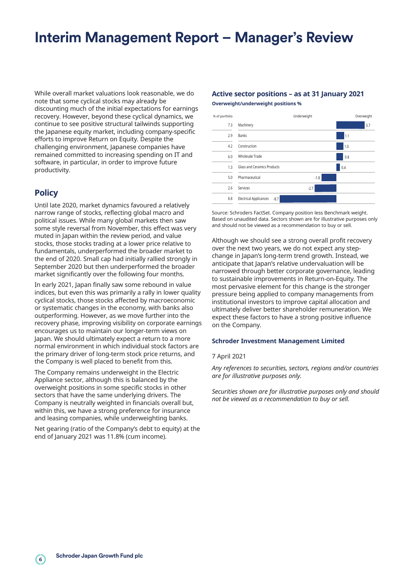## **Interim Management Report – Manager's Review**

While overall market valuations look reasonable, we do note that some cyclical stocks may already be discounting much of the initial expectations for earnings recovery. However, beyond these cyclical dynamics, we continue to see positive structural tailwinds supporting the Japanese equity market, including company-specific efforts to improve Return on Equity. Despite the challenging environment, Japanese companies have remained committed to increasing spending on IT and software, in particular, in order to improve future productivity.

#### **Policy**

Until late 2020, market dynamics favoured a relatively narrow range of stocks, reflecting global macro and political issues. While many global markets then saw some style reversal from November, this effect was very muted in Japan within the review period, and value stocks, those stocks trading at a lower price relative to fundamentals, underperformed the broader market to the end of 2020. Small cap had initially rallied strongly in September 2020 but then underperformed the broader market significantly over the following four months.

In early 2021, Japan finally saw some rebound in value indices, but even this was primarily a rally in lower quality cyclical stocks, those stocks affected by macroeconomic or systematic changes in the economy, with banks also outperforming. However, as we move further into the recovery phase, improving visibility on corporate earnings encourages us to maintain our longer-term views on Japan. We should ultimately expect a return to a more normal environment in which individual stock factors are the primary driver of long-term stock price returns, and the Company is well placed to benefit from this.

The Company remains underweight in the Electric Appliance sector, although this is balanced by the overweight positions in some specific stocks in other sectors that have the same underlying drivers. The Company is neutrally weighted in financials overall but, within this, we have a strong preference for insurance and leasing companies, while underweighting banks.

Net gearing (ratio of the Company's debt to equity) at the end of January 2021 was 11.8% (cum income).

#### **Active sector positions – as at 31 January 2021 Overweight/underweight positions %**

| % of portfolio |                                         | Underweight | Overweight |
|----------------|-----------------------------------------|-------------|------------|
| 7.3            | Machinery                               |             | 3.7        |
| 2.9            | Banks                                   |             | 1.1        |
| 4.2            | Construction                            |             | 1.0        |
| 6.0            | Wholesale Trade                         |             | 0.8        |
| 1.3            | Glass and Ceramics Products             |             | 0.4        |
| 5.0            | Pharmaceutical                          | $-1.8$      |            |
| 2.6            | Services                                | $-2.7$      |            |
| 8.8            | <b>Electrical Applicances</b><br>$-8.7$ |             |            |

Source: Schroders FactSet. Company position less Benchmark weight. Based on unaudited data. Sectors shown are for illustrative purposes only and should not be viewed as a recommendation to buy or sell.

Although we should see a strong overall profit recovery over the next two years, we do not expect any stepchange in Japan's long-term trend growth. Instead, we anticipate that Japan's relative undervaluation will be narrowed through better corporate governance, leading to sustainable improvements in Return-on-Equity. The most pervasive element for this change is the stronger pressure being applied to company managements from institutional investors to improve capital allocation and ultimately deliver better shareholder remuneration. We expect these factors to have a strong positive influence on the Company.

#### **Schroder Investment Management Limited**

#### 7 April 2021

*Any references to securities, sectors, regions and/or countries are for illustrative purposes only.*

*Securities shown are for illustrative purposes only and should not be viewed as a recommendation to buy or sell.*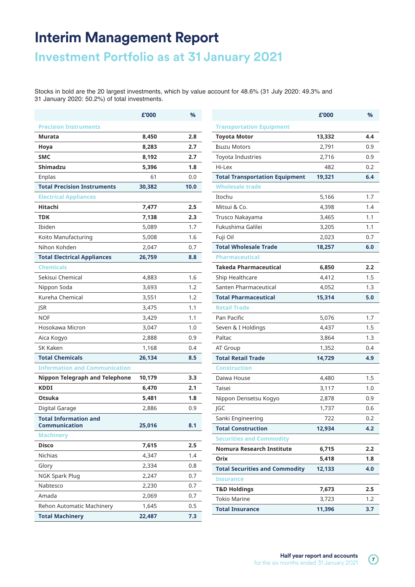## **Interim Management Report**

## **Investment Portfolio as at 31 January 2021**

Stocks in bold are the 20 largest investments, which by value account for 48.6% (31 July 2020: 49.3% and 31 January 2020: 50.2%) of total investments.

|                                               | £'000  | %    |
|-----------------------------------------------|--------|------|
| <b>Precision Instruments</b>                  |        |      |
| Murata                                        | 8,450  | 2.8  |
| Hoya                                          | 8,283  | 2.7  |
| <b>SMC</b>                                    | 8,192  | 2.7  |
| <b>Shimadzu</b>                               | 5,396  | 1.8  |
| Enplas                                        | 61     | 0.0  |
| <b>Total Precision Instruments</b>            | 30,382 | 10.0 |
| <b>Electrical Appliances</b>                  |        |      |
| Hitachi                                       | 7,477  | 2.5  |
| <b>TDK</b>                                    | 7,138  | 2.3  |
| Ibiden                                        | 5,089  | 1.7  |
| Koito Manufacturing                           | 5,008  | 1.6  |
| Nihon Kohden                                  | 2,047  | 0.7  |
| <b>Total Electrical Appliances</b>            | 26,759 | 8.8  |
| <b>Chemicals</b>                              |        |      |
| Sekisui Chemical                              | 4,883  | 1.6  |
| Nippon Soda                                   | 3,693  | 1.2  |
| Kureha Chemical                               | 3,551  | 1.2  |
| <b>JSR</b>                                    | 3,475  | 1.1  |
| <b>NOF</b>                                    | 3,429  | 1.1  |
| Hosokawa Micron                               | 3,047  | 1.0  |
| Aica Kogyo                                    | 2,888  | 0.9  |
| <b>SK Kaken</b>                               | 1,168  | 0.4  |
| <b>Total Chemicals</b>                        | 26,134 | 8.5  |
| <b>Information and Communication</b>          |        |      |
| <b>Nippon Telegraph and Telephone</b>         | 10,179 | 3.3  |
| <b>KDDI</b>                                   | 6,470  | 2.1  |
| Otsuka                                        | 5,481  | 1.8  |
| Digital Garage                                | 2,886  | 0.9  |
| <b>Total Information and</b><br>Communication | 25,016 | 8.1  |
| <b>Machinery</b>                              |        |      |
| <b>Disco</b>                                  | 7,615  | 2.5  |
| Nichias                                       | 4,347  | 1.4  |
| Glory                                         | 2,334  | 0.8  |
| <b>NGK Spark Plug</b>                         | 2,247  | 0.7  |
| Nabtesco                                      | 2,230  | 0.7  |
| Amada                                         | 2,069  | 0.7  |
| Rehon Automatic Machinery                     | 1,645  | 0.5  |
| <b>Total Machinery</b>                        | 22,487 | 7.3  |

| £'000  | $\frac{9}{6}$ |                                       | £'000  | $\frac{9}{6}$ |
|--------|---------------|---------------------------------------|--------|---------------|
|        |               | <b>Transportation Equipment</b>       |        |               |
| 8,450  | 2.8           | <b>Toyota Motor</b>                   | 13,332 | 4.4           |
| 8,283  | 2.7           | <b>Isuzu Motors</b>                   | 2,791  | 0.9           |
| 8,192  | 2.7           | Toyota Industries                     | 2,716  | 0.9           |
| 5,396  | 1.8           | Hi-Lex                                | 482    | 0.2           |
| 61     | 0.0           | <b>Total Transportation Equipment</b> | 19,321 | 6.4           |
| 30,382 | 10.0          | <b>Wholesale trade</b>                |        |               |
|        |               | Itochu                                | 5,166  | 1.7           |
| 7,477  | 2.5           | Mitsui & Co.                          | 4,398  | 1.4           |
| 7,138  | 2.3           | Trusco Nakayama                       | 3,465  | 1.1           |
| 5,089  | 1.7           | Fukushima Galilei                     | 3,205  | 1.1           |
| 5,008  | 1.6           | Fuji Oil                              | 2,023  | 0.7           |
| 2,047  | 0.7           | <b>Total Wholesale Trade</b>          | 18,257 | 6.0           |
| 26,759 | 8.8           | <b>Pharmaceutical</b>                 |        |               |
|        |               | Takeda Pharmaceutical                 | 6,850  | 2.2           |
| 4,883  | 1.6           | Ship Healthcare                       | 4,412  | 1.5           |
| 3,693  | 1.2           | Santen Pharmaceutical                 | 4,052  | 1.3           |
| 3,551  | 1.2           | <b>Total Pharmaceutical</b>           | 15,314 | 5.0           |
| 3,475  | 1.1           | <b>Retail Trade</b>                   |        |               |
| 3,429  | 1.1           | Pan Pacific                           | 5,076  | 1.7           |
| 3,047  | 1.0           | Seven & I Holdings                    | 4,437  | 1.5           |
| 2,888  | 0.9           | Paltac                                | 3,864  | 1.3           |
| 1,168  | 0.4           | AT Group                              | 1,352  | 0.4           |
| 26,134 | 8.5           | <b>Total Retail Trade</b>             | 14,729 | 4.9           |
|        |               | <b>Construction</b>                   |        |               |
| 0,179  | 3.3           | Daiwa House                           | 4,480  | 1.5           |
| 6,470  | 2.1           | Taisei                                | 3,117  | 1.0           |
| 5,481  | 1.8           | Nippon Densetsu Kogyo                 | 2,878  | 0.9           |
| 2,886  | 0.9           | JGC                                   | 1,737  | 0.6           |
|        |               | Sanki Engineering                     | 722    | 0.2           |
| 25,016 | 8.1           | <b>Total Construction</b>             | 12,934 | 4.2           |
|        |               | <b>Securities and Commodity</b>       |        |               |
| 7,615  | 2.5           | Nomura Research Institute             | 6,715  | 2.2           |
| 4,347  | 1.4           | Orix                                  | 5,418  | 1.8           |
| 2,334  | 0.8           | <b>Total Securities and Commodity</b> | 12,133 | 4.0           |
| 2,247  | 0.7           | <b>Insurance</b>                      |        |               |
| 2,230  | 0.7           | <b>T&amp;D Holdings</b>               | 7,673  | 2.5           |
| 2,069  | 0.7           | <b>Tokio Marine</b>                   | 3,723  | 1.2           |
| 1,645  | 0.5           | <b>Total Insurance</b>                | 11,396 | 3.7           |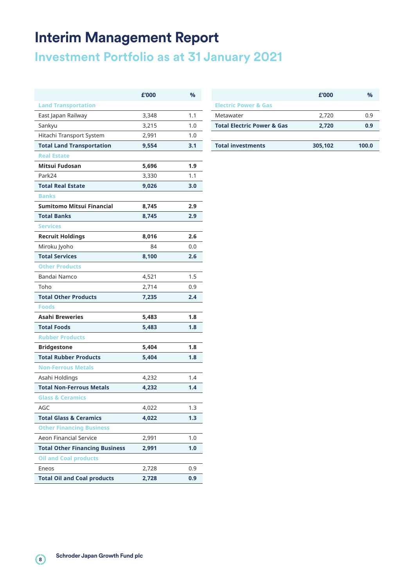## **Interim Management Report**

**Investment Portfolio as at 31 January 2021**

|                                       | £'000 | %   |
|---------------------------------------|-------|-----|
| <b>Land Transportation</b>            |       |     |
| East Japan Railway                    | 3,348 | 1.1 |
| Sankyu                                | 3,215 | 1.0 |
| Hitachi Transport System              | 2,991 | 1.0 |
| <b>Total Land Transportation</b>      | 9,554 | 3.1 |
| <b>Real Estate</b>                    |       |     |
| Mitsui Fudosan                        | 5,696 | 1.9 |
| Park24                                | 3,330 | 1.1 |
| <b>Total Real Estate</b>              | 9,026 | 3.0 |
| <b>Banks</b>                          |       |     |
| <b>Sumitomo Mitsui Financial</b>      | 8,745 | 2.9 |
| <b>Total Banks</b>                    | 8,745 | 2.9 |
| <b>Services</b>                       |       |     |
| <b>Recruit Holdings</b>               | 8,016 | 2.6 |
| Miroku Jyoho                          | 84    | 0.0 |
| <b>Total Services</b>                 | 8,100 | 2.6 |
| <b>Other Products</b>                 |       |     |
| Bandai Namco                          | 4,521 | 1.5 |
| Toho                                  | 2,714 | 0.9 |
| <b>Total Other Products</b>           | 7,235 | 2.4 |
| <b>Foods</b>                          |       |     |
| <b>Asahi Breweries</b>                | 5,483 | 1.8 |
| <b>Total Foods</b>                    | 5,483 | 1.8 |
| <b>Rubber Products</b>                |       |     |
| <b>Bridgestone</b>                    | 5,404 | 1.8 |
| <b>Total Rubber Products</b>          | 5,404 | 1.8 |
| <b>Non-Ferrous Metals</b>             |       |     |
| Asahi Holdings                        | 4,232 | 1.4 |
| <b>Total Non-Ferrous Metals</b>       | 4,232 | 1.4 |
| <b>Glass &amp; Ceramics</b>           |       |     |
| AGC                                   | 4,022 | 1.3 |
| <b>Total Glass &amp; Ceramics</b>     | 4,022 | 1.3 |
| <b>Other Financing Business</b>       |       |     |
| <b>Aeon Financial Service</b>         | 2,991 | 1.0 |
| <b>Total Other Financing Business</b> | 2,991 | 1.0 |
| <b>Oil and Coal products</b>          |       |     |
| Eneos                                 | 2,728 | 0.9 |
| <b>Total Oil and Coal products</b>    | 2,728 | 0.9 |

| £'000 | %   |                                       | £'000   | $\frac{0}{0}$ |
|-------|-----|---------------------------------------|---------|---------------|
|       |     | <b>Electric Power &amp; Gas</b>       |         |               |
| 3,348 | 1.1 | Metawater                             | 2.720   | 0.9           |
| 3,215 | 1.0 | <b>Total Electric Power &amp; Gas</b> | 2,720   | 0.9           |
| 2,991 | 1.0 |                                       |         |               |
| 9,554 | 3.1 | <b>Total investments</b>              | 305,102 | 100.0         |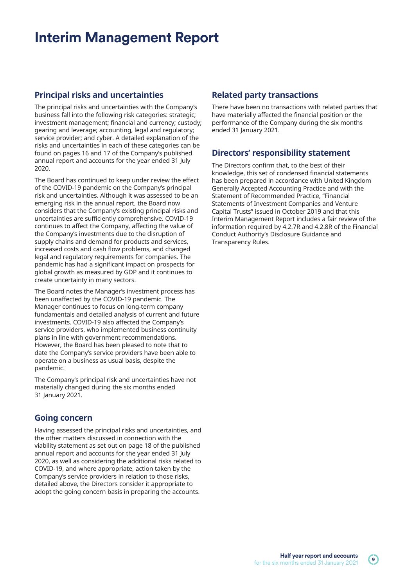## **Interim Management Report**

### **Principal risks and uncertainties**

The principal risks and uncertainties with the Company's business fall into the following risk categories: strategic; investment management; financial and currency; custody; gearing and leverage; accounting, legal and regulatory; service provider; and cyber. A detailed explanation of the risks and uncertainties in each of these categories can be found on pages 16 and 17 of the Company's published annual report and accounts for the year ended 31 July 2020.

The Board has continued to keep under review the effect of the COVID-19 pandemic on the Company's principal risk and uncertainties. Although it was assessed to be an emerging risk in the annual report, the Board now considers that the Company's existing principal risks and uncertainties are sufficiently comprehensive. COVID-19 continues to affect the Company, affecting the value of the Company's investments due to the disruption of supply chains and demand for products and services, increased costs and cash flow problems, and changed legal and regulatory requirements for companies. The pandemic has had a significant impact on prospects for global growth as measured by GDP and it continues to create uncertainty in many sectors.

The Board notes the Manager's investment process has been unaffected by the COVID-19 pandemic. The Manager continues to focus on long-term company fundamentals and detailed analysis of current and future investments. COVID-19 also affected the Company's service providers, who implemented business continuity plans in line with government recommendations. However, the Board has been pleased to note that to date the Company's service providers have been able to operate on a business as usual basis, despite the pandemic.

The Company's principal risk and uncertainties have not materially changed during the six months ended 31 January 2021.

### **Going concern**

Having assessed the principal risks and uncertainties, and the other matters discussed in connection with the viability statement as set out on page 18 of the published annual report and accounts for the year ended 31 July 2020, as well as considering the additional risks related to COVID-19, and where appropriate, action taken by the Company's service providers in relation to those risks, detailed above, the Directors consider it appropriate to adopt the going concern basis in preparing the accounts.

### **Related party transactions**

There have been no transactions with related parties that have materially affected the financial position or the performance of the Company during the six months ended 31 January 2021.

### **Directors' responsibility statement**

The Directors confirm that, to the best of their knowledge, this set of condensed financial statements has been prepared in accordance with United Kingdom Generally Accepted Accounting Practice and with the Statement of Recommended Practice, "Financial Statements of Investment Companies and Venture Capital Trusts" issued in October 2019 and that this Interim Management Report includes a fair review of the information required by 4.2.7R and 4.2.8R of the Financial Conduct Authority's Disclosure Guidance and Transparency Rules.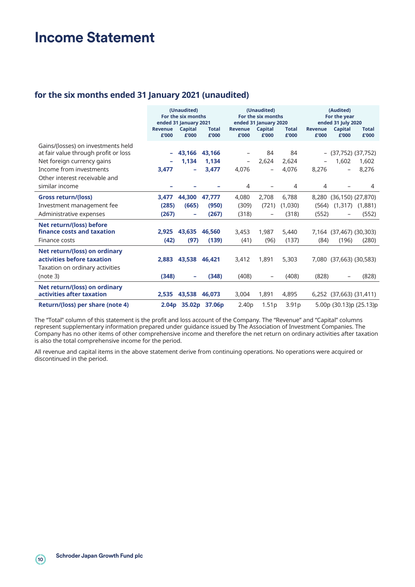## **Income Statement**

### **for the six months ended 31 January 2021 (unaudited)**

|                                                                            | (Unaudited)<br>For the six months<br>ended 31 January 2021 |                          | (Unaudited)<br>For the six months<br>ended 31 January 2020 |                          |                   | (Audited)<br>For the year<br>ended 31 July 2020 |                         |                          |                       |
|----------------------------------------------------------------------------|------------------------------------------------------------|--------------------------|------------------------------------------------------------|--------------------------|-------------------|-------------------------------------------------|-------------------------|--------------------------|-----------------------|
|                                                                            | Revenue<br>£'000                                           | Capital<br>£'000         | <b>Total</b><br>£'000                                      | <b>Revenue</b><br>£'000  | Capital<br>£'000  | <b>Total</b><br>£'000                           | <b>Revenue</b><br>£'000 | Capital<br>£'000         | <b>Total</b><br>£'000 |
| Gains/(losses) on investments held<br>at fair value through profit or loss | $\overline{\phantom{0}}$                                   | 43.166                   | 43.166                                                     | $\qquad \qquad -$        | 84                | 84                                              |                         | (37,752) (37,752)        |                       |
| Net foreign currency gains                                                 |                                                            | 1,134                    | 1,134                                                      | $\overline{\phantom{a}}$ | 2.624             | 2,624                                           |                         | 1,602                    | 1,602                 |
| Income from investments                                                    | 3,477                                                      | $\overline{\phantom{a}}$ | 3,477                                                      | 4,076                    | $\qquad \qquad -$ | 4,076                                           | 8,276                   | $\overline{\phantom{0}}$ | 8,276                 |
| Other interest receivable and                                              |                                                            |                          |                                                            |                          |                   |                                                 |                         |                          |                       |
| similar income                                                             |                                                            |                          |                                                            | 4                        |                   | 4                                               | 4                       |                          | 4                     |
| Gross return/(loss)                                                        | 3,477                                                      | 44,300                   | 47,777                                                     | 4,080                    | 2,708             | 6,788                                           | 8,280                   | $(36, 150)$ $(27, 870)$  |                       |
| Investment management fee                                                  | (285)                                                      | (665)                    | (950)                                                      | (309)                    | (721)             | (1,030)                                         | (564)                   | (1,317)                  | (1,881)               |
| Administrative expenses                                                    | (267)                                                      | $\overline{\phantom{a}}$ | (267)                                                      | (318)                    |                   | (318)                                           | (552)                   |                          | (552)                 |
| Net return/(loss) before                                                   |                                                            |                          |                                                            |                          |                   |                                                 |                         |                          |                       |
| finance costs and taxation                                                 | 2,925                                                      | 43,635                   | 46.560                                                     | 3,453                    | 1,987             | 5,440                                           |                         | 7,164 (37,467) (30,303)  |                       |
| Finance costs                                                              | (42)                                                       | (97)                     | (139)                                                      | (41)                     | (96)              | (137)                                           | (84)                    | (196)                    | (280)                 |
| Net return/(loss) on ordinary                                              |                                                            |                          |                                                            |                          |                   |                                                 |                         |                          |                       |
| activities before taxation                                                 | 2.883                                                      | 43.538                   | 46.421                                                     | 3,412                    | 1,891             | 5,303                                           |                         | 7,080 (37,663) (30,583)  |                       |
| Taxation on ordinary activities                                            |                                                            |                          |                                                            |                          |                   |                                                 |                         |                          |                       |
| (note 3)                                                                   | (348)                                                      |                          | (348)                                                      | (408)                    |                   | (408)                                           | (828)                   | -                        | (828)                 |
| Net return/(loss) on ordinary<br>activities after taxation                 | 2,535                                                      | 43.538                   | 46,073                                                     | 3,004                    | 1,891             | 4,895                                           |                         | 6,252 (37,663) (31,411)  |                       |
| Return/(loss) per share (note 4)                                           |                                                            |                          | 2.04p 35.02p 37.06p                                        | 2.40 <sub>p</sub>        | 1.51 <sub>p</sub> | 3.91 <sub>p</sub>                               |                         | 5.00p (30.13)p (25.13)p  |                       |

The "Total" column of this statement is the profit and loss account of the Company. The "Revenue" and "Capital" columns represent supplementary information prepared under guidance issued by The Association of Investment Companies. The Company has no other items of other comprehensive income and therefore the net return on ordinary activities after taxation is also the total comprehensive income for the period.

All revenue and capital items in the above statement derive from continuing operations. No operations were acquired or discontinued in the period.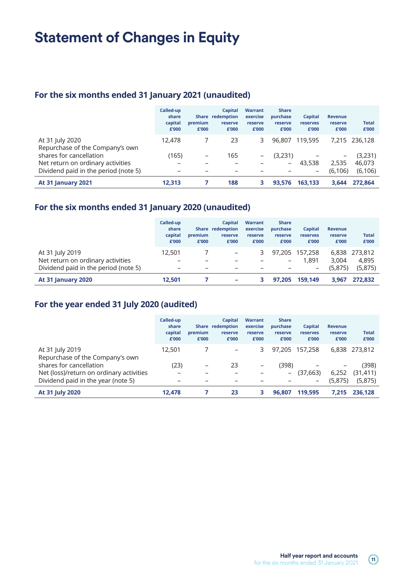## **Statement of Changes in Equity**

### **For the six months ended 31 January 2021 (unaudited)**

|                                                    | Called-up<br>share<br>capital<br>£'000 | premium<br>£'000 | Capital<br>Share redemption<br>reserve<br>£'000 | <b>Warrant</b><br>exercise<br>reserve<br>£'000 | <b>Share</b><br>purchase<br>reserve<br>£'000 | Capital<br>reserves<br>£'000 | <b>Revenue</b><br>reserve<br>£'000 | <b>Total</b><br>£'000 |
|----------------------------------------------------|----------------------------------------|------------------|-------------------------------------------------|------------------------------------------------|----------------------------------------------|------------------------------|------------------------------------|-----------------------|
| At 31 July 2020<br>Repurchase of the Company's own | 12,478                                 |                  | 23                                              | 3                                              | 96,807                                       | 119,595                      |                                    | 7.215 236.128         |
| shares for cancellation                            | (165)                                  | -                | 165                                             | -                                              | (3,231)                                      |                              | -                                  | (3,231)               |
| Net return on ordinary activities                  |                                        |                  |                                                 |                                                | -                                            | 43,538                       | 2.535                              | 46,073                |
| Dividend paid in the period (note 5)               |                                        |                  |                                                 |                                                |                                              | -                            | (6, 106)                           | (6, 106)              |
| <b>At 31 January 2021</b>                          | 12.313                                 |                  | 188                                             | 3                                              | 93.576                                       | 163.133                      | 3.644                              | 272.864               |

## **For the six months ended 31 January 2020 (unaudited)**

|                                      | Called-up<br>share<br>capital<br>£'000 | premium<br>£'000         | Capital<br>Share redemption<br>reserve<br>£'000 | <b>Warrant</b><br>exercise<br>reserve<br>£'000 | <b>Share</b><br>purchase<br>reserve<br>£'000 | Capital<br>reserves<br>£'000 | <b>Revenue</b><br>reserve<br>£'000 | <b>Total</b><br>£'000 |
|--------------------------------------|----------------------------------------|--------------------------|-------------------------------------------------|------------------------------------------------|----------------------------------------------|------------------------------|------------------------------------|-----------------------|
| At 31 July 2019                      | 12,501                                 |                          | $\overline{\phantom{m}}$                        | 3.                                             |                                              | 97.205 157.258               |                                    | 6,838 273,812         |
| Net return on ordinary activities    |                                        |                          |                                                 |                                                | -                                            | 1,891                        | 3.004                              | 4,895                 |
| Dividend paid in the period (note 5) | $\overline{\phantom{0}}$               | $\overline{\phantom{0}}$ |                                                 |                                                |                                              | $\qquad \qquad$              | (5.875)                            | (5,875)               |
| <b>At 31 January 2020</b>            | 12,501                                 |                          |                                                 |                                                | 97.205                                       | 159,149                      | 3.967                              | 272.832               |

## **For the year ended 31 July 2020 (audited)**

|                                                    | Called-up<br>share<br>capital<br>£'000 | premium<br>£'000 | <b>Capital</b><br>Share redemption<br>reserve<br>£'000 | <b>Warrant</b><br>exercise<br>reserve<br>£'000 | <b>Share</b><br>purchase<br>reserve<br>£'000 | Capital<br>reserves<br>£'000 | <b>Revenue</b><br>reserve<br>£'000 | <b>Total</b><br>£'000 |
|----------------------------------------------------|----------------------------------------|------------------|--------------------------------------------------------|------------------------------------------------|----------------------------------------------|------------------------------|------------------------------------|-----------------------|
| At 31 July 2019<br>Repurchase of the Company's own | 12,501                                 |                  |                                                        | 3                                              | 97,205                                       | 157,258                      | 6,838                              | 273,812               |
| shares for cancellation                            | (23)                                   | $\qquad \qquad$  | 23                                                     | -                                              | (398)                                        |                              | $\overline{\phantom{m}}$           | (398)                 |
| Net (loss)/return on ordinary activities           |                                        | -                |                                                        |                                                | -                                            | (37,663)                     | 6,252                              | (31, 411)             |
| Dividend paid in the year (note 5)                 | $\overline{\phantom{0}}$               | -                |                                                        |                                                |                                              | $\overline{\phantom{m}}$     | (5,875)                            | (5,875)               |
| At 31 July 2020                                    | 12,478                                 |                  | 23                                                     | 3                                              | 96.807                                       | 119.595                      | 7.215                              | 236.128               |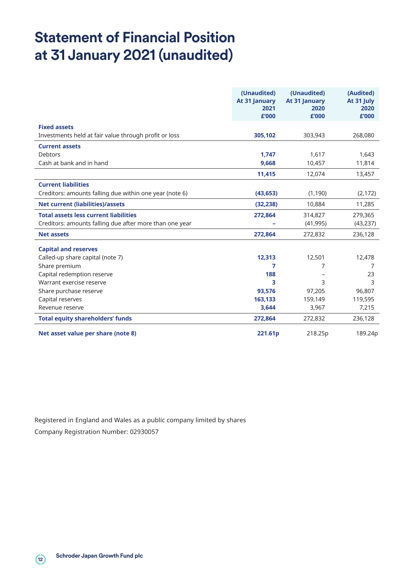## **Statement of Financial Position at 31 January 2021 (unaudited)**

|                                                         | (Unaudited)<br>At 31 January<br>2021<br>£'000 | (Unaudited)<br>At 31 January<br>2020<br>£'000 | (Audited)<br>At 31 July<br>2020<br>£'000 |
|---------------------------------------------------------|-----------------------------------------------|-----------------------------------------------|------------------------------------------|
| <b>Fixed assets</b>                                     |                                               |                                               |                                          |
| Investments held at fair value through profit or loss   | 305,102                                       | 303,943                                       | 268,080                                  |
| <b>Current assets</b>                                   |                                               |                                               |                                          |
| <b>Debtors</b>                                          | 1,747                                         | 1,617                                         | 1,643                                    |
| Cash at bank and in hand                                | 9.668                                         | 10,457                                        | 11,814                                   |
|                                                         | 11,415                                        | 12,074                                        | 13,457                                   |
| <b>Current liabilities</b>                              |                                               |                                               |                                          |
| Creditors: amounts falling due within one year (note 6) | (43, 653)                                     | (1, 190)                                      | (2, 172)                                 |
| <b>Net current (liabilities)/assets</b>                 | (32, 238)                                     | 10,884                                        | 11,285                                   |
| <b>Total assets less current liabilities</b>            | 272,864                                       | 314,827                                       | 279,365                                  |
| Creditors: amounts falling due after more than one year |                                               | (41, 995)                                     | (43, 237)                                |
| <b>Net assets</b>                                       | 272,864                                       | 272,832                                       | 236,128                                  |
| <b>Capital and reserves</b>                             |                                               |                                               |                                          |
| Called-up share capital (note 7)                        | 12,313                                        | 12,501                                        | 12,478                                   |
| Share premium                                           | 7                                             | 7                                             | 7                                        |
| Capital redemption reserve                              | 188                                           |                                               | 23                                       |
| Warrant exercise reserve                                | 3                                             | 3                                             | 3                                        |
| Share purchase reserve                                  | 93,576                                        | 97,205                                        | 96,807                                   |
| Capital reserves                                        | 163,133                                       | 159,149                                       | 119,595                                  |
| Revenue reserve                                         | 3,644                                         | 3,967                                         | 7,215                                    |
| <b>Total equity shareholders' funds</b>                 | 272,864                                       | 272,832                                       | 236,128                                  |
| Net asset value per share (note 8)                      | 221.61p                                       | 218.25p                                       | 189.24p                                  |

Registered in England and Wales as a public company limited by shares Company Registration Number: 02930057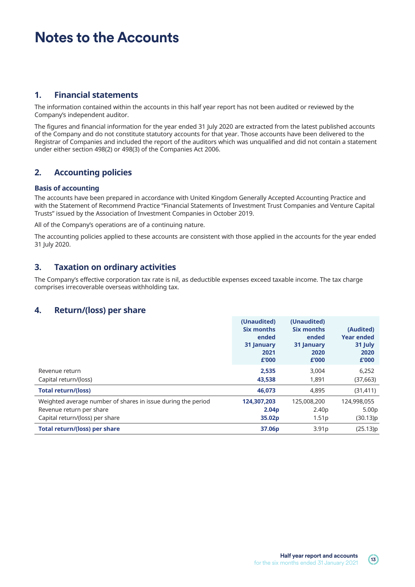## **Notes to the Accounts**

### **1. Financial statements**

The information contained within the accounts in this half year report has not been audited or reviewed by the Company's independent auditor.

The figures and financial information for the year ended 31 July 2020 are extracted from the latest published accounts of the Company and do not constitute statutory accounts for that year. Those accounts have been delivered to the Registrar of Companies and included the report of the auditors which was unqualified and did not contain a statement under either section 498(2) or 498(3) of the Companies Act 2006.

### **2. Accounting policies**

#### **Basis of accounting**

The accounts have been prepared in accordance with United Kingdom Generally Accepted Accounting Practice and with the Statement of Recommend Practice "Financial Statements of Investment Trust Companies and Venture Capital Trusts" issued by the Association of Investment Companies in October 2019.

All of the Company's operations are of a continuing nature.

The accounting policies applied to these accounts are consistent with those applied in the accounts for the year ended 31 July 2020.

### **3. Taxation on ordinary activities**

The Company's effective corporation tax rate is nil, as deductible expenses exceed taxable income. The tax charge comprises irrecoverable overseas withholding tax.

### **4. Return/(loss) per share**

|                                                              | (Unaudited)<br>Six months<br>ended<br>31 January<br>2021<br>£'000 | (Unaudited)<br>Six months<br>ended<br>31 January<br>2020<br>£'000 | (Audited)<br><b>Year ended</b><br>31 July<br>2020<br>£'000 |
|--------------------------------------------------------------|-------------------------------------------------------------------|-------------------------------------------------------------------|------------------------------------------------------------|
| Revenue return                                               | 2,535                                                             | 3,004                                                             | 6,252                                                      |
| Capital return/(loss)                                        | 43,538                                                            | 1,891                                                             | (37,663)                                                   |
| <b>Total return/(loss)</b>                                   | 46,073                                                            | 4,895                                                             | (31, 411)                                                  |
| Weighted average number of shares in issue during the period | 124,307,203                                                       | 125,008,200                                                       | 124,998,055                                                |
| Revenue return per share                                     | 2.04 <sub>p</sub>                                                 | 2.40 <sub>p</sub>                                                 | 5.00 <sub>p</sub>                                          |
| Capital return/(loss) per share                              | 35.02p                                                            | 1.51 <sub>p</sub>                                                 | (30.13)p                                                   |
| <b>Total return/(loss) per share</b>                         | 37.06p                                                            | 3.91 <sub>p</sub>                                                 | (25.13)p                                                   |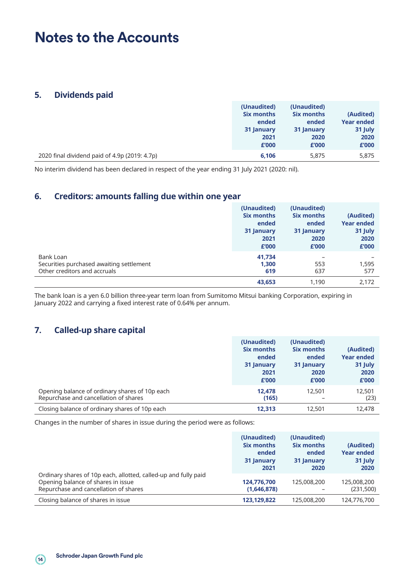## **Notes to the Accounts**

#### **5. Dividends paid**

|                                               | (Unaudited) | (Unaudited) |                   |
|-----------------------------------------------|-------------|-------------|-------------------|
|                                               | Six months  | Six months  | (Audited)         |
|                                               | ended       | ended       | <b>Year ended</b> |
|                                               | 31 January  | 31 January  | 31 July           |
|                                               | 2021        | 2020        | 2020              |
|                                               | £'000       | £'000       | £'000             |
| 2020 final dividend paid of 4.9p (2019: 4.7p) | 6,106       | 5,875       | 5,875             |

No interim dividend has been declared in respect of the year ending 31 July 2021 (2020: nil).

### **6. Creditors: amounts falling due within one year**

|                                                                                       | (Unaudited)<br><b>Six months</b><br>ended<br>31 January<br>2021<br>£'000 | (Unaudited)<br><b>Six months</b><br>ended<br>31 January<br>2020<br>£'000 | (Audited)<br><b>Year ended</b><br>31 July<br>2020<br>£'000 |
|---------------------------------------------------------------------------------------|--------------------------------------------------------------------------|--------------------------------------------------------------------------|------------------------------------------------------------|
| Bank Loan<br>Securities purchased awaiting settlement<br>Other creditors and accruals | 41,734<br>1,300<br>619<br>43,653                                         | 553<br>637<br>1,190                                                      | 1,595<br>577<br>2,172                                      |

The bank loan is a yen 6.0 billion three-year term loan from Sumitomo Mitsui banking Corporation, expiring in January 2022 and carrying a fixed interest rate of 0.64% per annum.

### **7. Called-up share capital**

|                                                                                         | (Unaudited)<br>Six months<br>ended<br>31 January<br>2021<br>£'000 | (Unaudited)<br>Six months<br>ended<br>31 January<br>2020<br>£'000 | (Audited)<br><b>Year ended</b><br>31 July<br>2020<br>£'000 |
|-----------------------------------------------------------------------------------------|-------------------------------------------------------------------|-------------------------------------------------------------------|------------------------------------------------------------|
| Opening balance of ordinary shares of 10p each<br>Repurchase and cancellation of shares | 12.478<br>(165)                                                   | 12,501                                                            | 12,501<br>(23)                                             |
| Closing balance of ordinary shares of 10p each                                          | 12.313                                                            | 12,501                                                            | 12,478                                                     |

Changes in the number of shares in issue during the period were as follows:

|                                                                                                                                                | (Unaudited)<br><b>Six months</b><br>ended<br>31 January<br>2021 | (Unaudited)<br><b>Six months</b><br>ended<br>31 January<br>2020 | (Audited)<br><b>Year ended</b><br>31 July<br>2020 |
|------------------------------------------------------------------------------------------------------------------------------------------------|-----------------------------------------------------------------|-----------------------------------------------------------------|---------------------------------------------------|
| Ordinary shares of 10p each, allotted, called-up and fully paid<br>Opening balance of shares in issue<br>Repurchase and cancellation of shares | 124,776,700<br>(1,646,878)                                      | 125,008,200                                                     | 125,008,200<br>(231,500)                          |
| Closing balance of shares in issue                                                                                                             | 123,129,822                                                     | 125,008,200                                                     | 124,776,700                                       |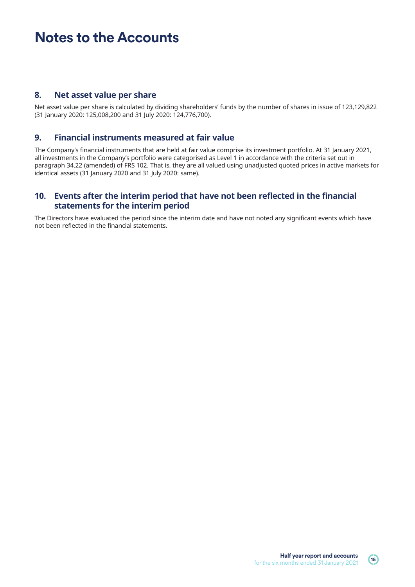## **Notes to the Accounts**

#### **8. Net asset value per share**

Net asset value per share is calculated by dividing shareholders' funds by the number of shares in issue of 123,129,822 (31 January 2020: 125,008,200 and 31 July 2020: 124,776,700).

#### **9. Financial instruments measured at fair value**

The Company's financial instruments that are held at fair value comprise its investment portfolio. At 31 January 2021, all investments in the Company's portfolio were categorised as Level 1 in accordance with the criteria set out in paragraph 34.22 (amended) of FRS 102. That is, they are all valued using unadjusted quoted prices in active markets for identical assets (31 January 2020 and 31 July 2020: same).

#### **10. Events after the interim period that have not been reflected in the financial statements for the interim period**

The Directors have evaluated the period since the interim date and have not noted any significant events which have not been reflected in the financial statements.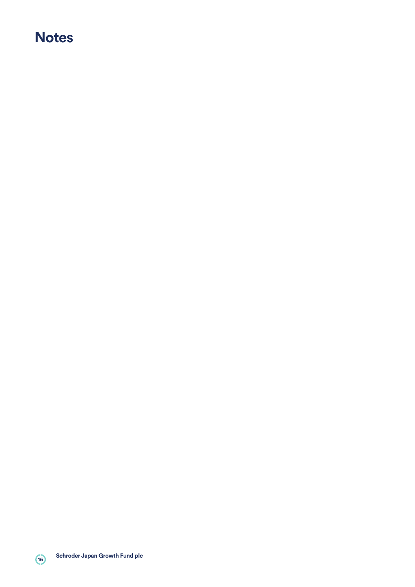## **Notes**